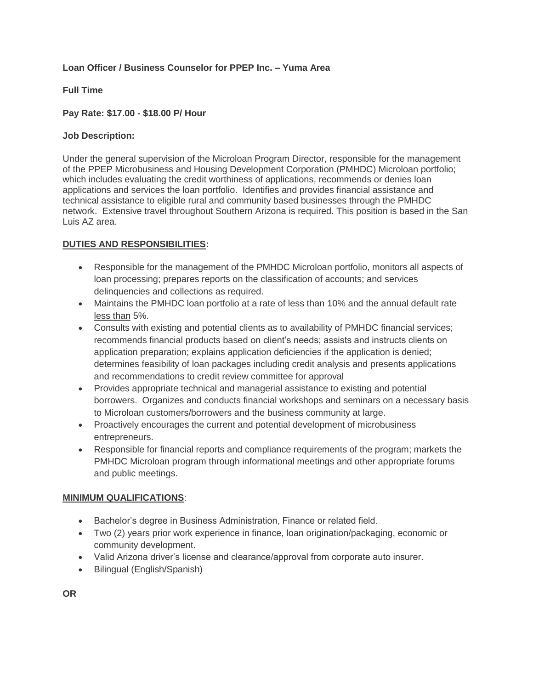#### **Loan Officer / Business Counselor for PPEP Inc. – Yuma Area**

#### **Full Time**

#### **Pay Rate: \$17.00 - \$18.00 P/ Hour**

#### **Job Description:**

Under the general supervision of the Microloan Program Director, responsible for the management of the PPEP Microbusiness and Housing Development Corporation (PMHDC) Microloan portfolio; which includes evaluating the credit worthiness of applications, recommends or denies loan applications and services the loan portfolio. Identifies and provides financial assistance and technical assistance to eligible rural and community based businesses through the PMHDC network. Extensive travel throughout Southern Arizona is required. This position is based in the San Luis AZ area.

# **DUTIES AND RESPONSIBILITIES:**

- Responsible for the management of the PMHDC Microloan portfolio, monitors all aspects of loan processing; prepares reports on the classification of accounts; and services delinquencies and collections as required.
- Maintains the PMHDC loan portfolio at a rate of less than 10% and the annual default rate less than 5%.
- Consults with existing and potential clients as to availability of PMHDC financial services; recommends financial products based on client's needs; assists and instructs clients on application preparation; explains application deficiencies if the application is denied; determines feasibility of loan packages including credit analysis and presents applications and recommendations to credit review committee for approval
- Provides appropriate technical and managerial assistance to existing and potential borrowers. Organizes and conducts financial workshops and seminars on a necessary basis to Microloan customers/borrowers and the business community at large.
- Proactively encourages the current and potential development of microbusiness entrepreneurs.
- Responsible for financial reports and compliance requirements of the program; markets the PMHDC Microloan program through informational meetings and other appropriate forums and public meetings.

# **MINIMUM QUALIFICATIONS**:

- Bachelor's degree in Business Administration, Finance or related field.
- Two (2) years prior work experience in finance, loan origination/packaging, economic or community development.
- Valid Arizona driver's license and clearance/approval from corporate auto insurer.
- Bilingual (English/Spanish)